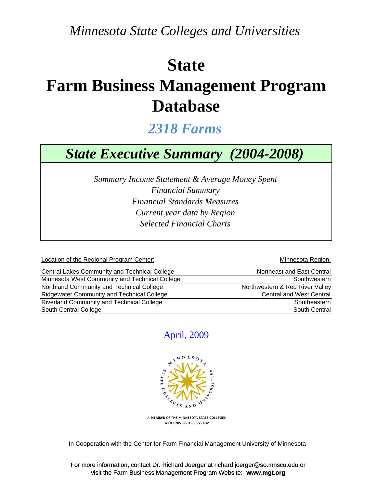*Minnesota State Colleges and Universities*

## **State**

# **Farm Business Management Program Database**

## *2318 Farms*

## *State Executive Summary (2004-2008)*

*Financial Standards Measures Selected Financial Charts Summary Income Statement & Average Money Spent Financial Summary Current year data by Region*

Location of the Regional Program Center: Network and Security and Minnesota Region:

| Central Lakes Community and Technical College     | Northeast and East Central      |
|---------------------------------------------------|---------------------------------|
| Minnesota West Community and Technical College    | Southwestern                    |
| Northland Community and Technical College         | Northwestern & Red River Valley |
| <b>Ridgewater Community and Technical College</b> | <b>Central and West Central</b> |
| <b>Riverland Community and Technical College</b>  | Southeastern                    |
| South Central College                             | South Central                   |

#### April, 2009



A MEMBER OF THE MINNESOTA STATE COLLEGES AND UNIVERSITIES SYSTEM

In Cooperation with the Center for Farm Financial Management University of Minnesota

For more information, contact Dr. Richard Joerger at richard.joerger@so.mnscu.edu or visit the Farm Business Management Program Website: **www.mgt.org**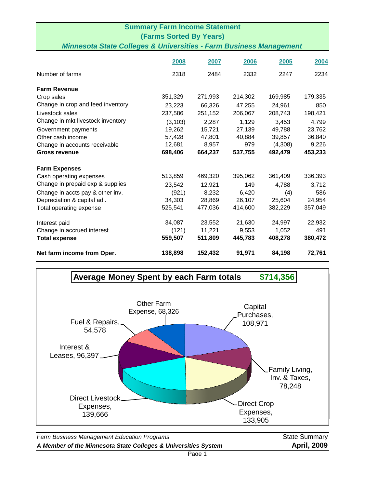|                                                                               | <b>Summary Farm Income Statement</b> |         |         |         |         |
|-------------------------------------------------------------------------------|--------------------------------------|---------|---------|---------|---------|
|                                                                               | <b>(Farms Sorted By Years)</b>       |         |         |         |         |
| <b>Minnesota State Colleges &amp; Universities - Farm Business Management</b> |                                      |         |         |         |         |
|                                                                               |                                      |         |         |         |         |
|                                                                               | 2008                                 | 2007    | 2006    | 2005    | 2004    |
| Number of farms                                                               | 2318                                 | 2484    | 2332    | 2247    | 2234    |
| <b>Farm Revenue</b>                                                           |                                      |         |         |         |         |
| Crop sales                                                                    | 351,329                              | 271,993 | 214,302 | 169,985 | 179,335 |
| Change in crop and feed inventory                                             | 23,223                               | 66,326  | 47,255  | 24,961  | 850     |
| Livestock sales                                                               | 237,586                              | 251,152 | 206,067 | 208,743 | 198,421 |
| Change in mkt livestock inventory                                             | (3, 103)                             | 2,287   | 1,129   | 3,453   | 4,799   |
| Government payments                                                           | 19,262                               | 15,721  | 27,139  | 49,788  | 23,762  |
| Other cash income                                                             | 57,428                               | 47,801  | 40,884  | 39,857  | 36,840  |
| Change in accounts receivable                                                 | 12,681                               | 8,957   | 979     | (4,308) | 9,226   |
| <b>Gross revenue</b>                                                          | 698,406                              | 664,237 | 537,755 | 492,479 | 453,233 |
| <b>Farm Expenses</b>                                                          |                                      |         |         |         |         |
| Cash operating expenses                                                       | 513,859                              | 469,320 | 395,062 | 361,409 | 336,393 |
| Change in prepaid exp & supplies                                              | 23,542                               | 12,921  | 149     | 4,788   | 3,712   |
| Change in accts pay & other inv.                                              | (921)                                | 8,232   | 6,420   | (4)     | 586     |
| Depreciation & capital adj.                                                   | 34,303                               | 28,869  | 26,107  | 25,604  | 24,954  |
| Total operating expense                                                       | 525,541                              | 477,036 | 414,600 | 382,229 | 357,049 |
| Interest paid                                                                 | 34,087                               | 23,552  | 21,630  | 24,997  | 22,932  |
| Change in accrued interest                                                    | (121)                                | 11,221  | 9,553   | 1,052   | 491     |
| <b>Total expense</b>                                                          | 559,507                              | 511,809 | 445,783 | 408,278 | 380,472 |
| Net farm income from Oper.                                                    | 138,898                              | 152,432 | 91,971  | 84,198  | 72,761  |



*A Member of the Minnesota State Colleges & Universities System* **April, 2009**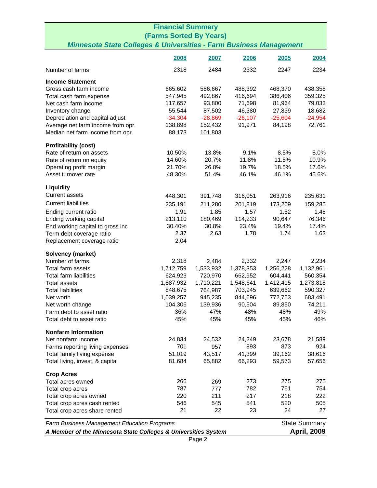| <b>Financial Summary</b>                                                      |               |            |            |            |                      |  |
|-------------------------------------------------------------------------------|---------------|------------|------------|------------|----------------------|--|
| <b>(Farms Sorted By Years)</b>                                                |               |            |            |            |                      |  |
| <b>Minnesota State Colleges &amp; Universities - Farm Business Management</b> |               |            |            |            |                      |  |
|                                                                               | 2008          | 2007       | 2006       | 2005       | 2004                 |  |
|                                                                               |               |            |            |            |                      |  |
| Number of farms                                                               | 2318          | 2484       | 2332       | 2247       | 2234                 |  |
| <b>Income Statement</b>                                                       |               |            |            |            |                      |  |
| Gross cash farm income                                                        | 665,602       | 586,667    | 488,392    | 468,370    | 438,358              |  |
| Total cash farm expense                                                       | 547,945       | 492,867    | 416,694    | 386,406    | 359,325              |  |
| Net cash farm income                                                          | 117,657       | 93,800     | 71,698     | 81,964     | 79,033               |  |
| Inventory change                                                              | 55,544        | 87,502     | 46,380     | 27,839     | 18,682               |  |
| Depreciation and capital adjust                                               | $-34,304$     | $-28,869$  | $-26,107$  | $-25,604$  | $-24,954$            |  |
| Average net farm income from opr.                                             | 138,898       | 152,432    | 91,971     | 84,198     | 72,761               |  |
| Median net farm income from opr.                                              | 88,173        | 101,803    |            |            |                      |  |
| <b>Profitability (cost)</b>                                                   |               |            |            |            |                      |  |
| Rate of return on assets                                                      | 10.50%        | 13.8%      | 9.1%       | 8.5%       | 8.0%                 |  |
| Rate of return on equity                                                      | 14.60%        | 20.7%      | 11.8%      | 11.5%      | 10.9%                |  |
| Operating profit margin                                                       | 21.70%        | 26.8%      | 19.7%      | 18.5%      | 17.6%                |  |
| Asset turnover rate                                                           | 48.30%        | 51.4%      | 46.1%      | 46.1%      | 45.6%                |  |
| Liquidity                                                                     |               |            |            |            |                      |  |
| <b>Current assets</b>                                                         | 448,301       | 391,748    | 316,051    | 263,916    | 235,631              |  |
| <b>Current liabilities</b>                                                    | 235,191       | 211,280    | 201,819    | 173,269    | 159,285              |  |
| Ending current ratio                                                          | 1.91          | 1.85       | 1.57       | 1.52       | 1.48                 |  |
| Ending working capital                                                        | 213,110       | 180,469    | 114,233    | 90,647     | 76,346               |  |
| End working capital to gross inc                                              | 30.40%        | 30.8%      | 23.4%      | 19.4%      | 17.4%                |  |
| Term debt coverage ratio                                                      | 2.37          | 2.63       | 1.78       | 1.74       | 1.63                 |  |
| Replacement coverage ratio                                                    | 2.04          |            |            |            |                      |  |
| Solvency (market)                                                             |               |            |            |            |                      |  |
| Number of farms                                                               | 2,318         | 2,484      | 2,332      | 2,247      | 2,234                |  |
| Total farm assets                                                             | 1,712,759     | 1,533,932  | 1,378,353  | 1,256,228  | 1,132,961            |  |
| <b>Total farm liabilities</b>                                                 | 624,923       | 720,970    | 662,952    | 604,441    | 560,354              |  |
| <b>Total assets</b>                                                           | 1,887,932     | 1,710,221  | 1,548,641  | 1,412,415  | 1,273,818            |  |
| <b>Total liabilities</b>                                                      | 848,675       | 764,987    | 703,945    | 639,662    | 590,327              |  |
| Net worth                                                                     | 1,039,257     | 945,235    | 844,696    | 772,753    | 683,491              |  |
| Net worth change                                                              | 104,306       | 139,936    | 90,504     | 89,850     | 74,211               |  |
| Farm debt to asset ratio                                                      | 36%           | 47%        | 48%        | 48%        | 49%                  |  |
| Total debt to asset ratio                                                     | 45%           | 45%        | 45%        | 45%        | 46%                  |  |
|                                                                               |               |            |            |            |                      |  |
| <b>Nonfarm Information</b><br>Net nonfarm income                              |               | 24,532     | 24,249     | 23,678     |                      |  |
| Farms reporting living expenses                                               | 24,834<br>701 | 957        | 893        | 873        | 21,589<br>924        |  |
| Total family living expense                                                   | 51,019        | 43,517     | 41,399     | 39,162     | 38,616               |  |
| Total living, invest, & capital                                               | 81,684        | 65,882     | 66,293     | 59,573     | 57,656               |  |
|                                                                               |               |            |            |            |                      |  |
| <b>Crop Acres</b>                                                             |               |            |            |            |                      |  |
| Total acres owned                                                             | 266           | 269        | 273        | 275        | 275                  |  |
| Total crop acres                                                              | 787<br>220    | 777<br>211 | 782<br>217 | 761<br>218 | 754<br>222           |  |
| Total crop acres owned                                                        | 546           | 545        | 541        | 520        |                      |  |
| Total crop acres cash rented<br>Total crop acres share rented                 | 21            | 22         | 23         | 24         | 505<br>27            |  |
|                                                                               |               |            |            |            |                      |  |
| Farm Business Management Education Programs                                   |               |            |            |            | <b>State Summary</b> |  |
| A Member of the Minnesota State Colleges & Universities System                |               |            |            |            | <b>April, 2009</b>   |  |
|                                                                               | Page 2        |            |            |            |                      |  |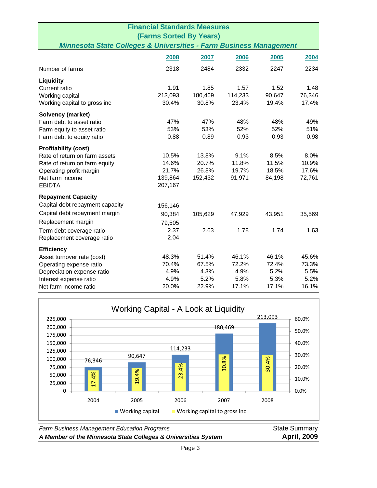|                                                                               | <b>Financial Standards Measures</b> |         |         |        |        |
|-------------------------------------------------------------------------------|-------------------------------------|---------|---------|--------|--------|
|                                                                               | <b>(Farms Sorted By Years)</b>      |         |         |        |        |
| <b>Minnesota State Colleges &amp; Universities - Farm Business Management</b> |                                     |         |         |        |        |
|                                                                               | 2008                                | 2007    | 2006    | 2005   | 2004   |
|                                                                               |                                     |         |         |        |        |
| Number of farms                                                               | 2318                                | 2484    | 2332    | 2247   | 2234   |
| Liquidity                                                                     |                                     |         |         |        |        |
| Current ratio                                                                 | 1.91                                | 1.85    | 1.57    | 1.52   | 1.48   |
| Working capital                                                               | 213,093                             | 180,469 | 114,233 | 90,647 | 76,346 |
| Working capital to gross inc                                                  | 30.4%                               | 30.8%   | 23.4%   | 19.4%  | 17.4%  |
| Solvency (market)                                                             |                                     |         |         |        |        |
| Farm debt to asset ratio                                                      | 47%                                 | 47%     | 48%     | 48%    | 49%    |
| Farm equity to asset ratio                                                    | 53%                                 | 53%     | 52%     | 52%    | 51%    |
| Farm debt to equity ratio                                                     | 0.88                                | 0.89    | 0.93    | 0.93   | 0.98   |
| <b>Profitability (cost)</b>                                                   |                                     |         |         |        |        |
| Rate of return on farm assets                                                 | 10.5%                               | 13.8%   | 9.1%    | 8.5%   | 8.0%   |
| Rate of return on farm equity                                                 | 14.6%                               | 20.7%   | 11.8%   | 11.5%  | 10.9%  |
| Operating profit margin                                                       | 21.7%                               | 26.8%   | 19.7%   | 18.5%  | 17.6%  |
| Net farm income                                                               | 139,864                             | 152,432 | 91,971  | 84,198 | 72,761 |
| <b>EBIDTA</b>                                                                 | 207,167                             |         |         |        |        |
| <b>Repayment Capacity</b>                                                     |                                     |         |         |        |        |
| Capital debt repayment capacity                                               | 156,146                             |         |         |        |        |
| Capital debt repayment margin                                                 | 90,384                              | 105,629 | 47,929  | 43,951 | 35,569 |
| Replacement margin                                                            | 79,505                              |         |         |        |        |
| Term debt coverage ratio                                                      | 2.37                                | 2.63    | 1.78    | 1.74   | 1.63   |
| Replacement coverage ratio                                                    | 2.04                                |         |         |        |        |
| <b>Efficiency</b>                                                             |                                     |         |         |        |        |
| Asset turnover rate (cost)                                                    | 48.3%                               | 51.4%   | 46.1%   | 46.1%  | 45.6%  |
| Operating expense ratio                                                       | 70.4%                               | 67.5%   | 72.2%   | 72.4%  | 73.3%  |
| Depreciation expense ratio                                                    | 4.9%                                | 4.3%    | 4.9%    | 5.2%   | 5.5%   |
| Interest expense ratio                                                        | 4.9%                                | 5.2%    | 5.8%    | 5.3%   | 5.2%   |
| Net farm income ratio                                                         | 20.0%                               | 22.9%   | 17.1%   | 17.1%  | 16.1%  |



**Farm Business Management Education Programs State Summary** State Summary *A Member of the Minnesota State Colleges & Universities System* **April, 2009**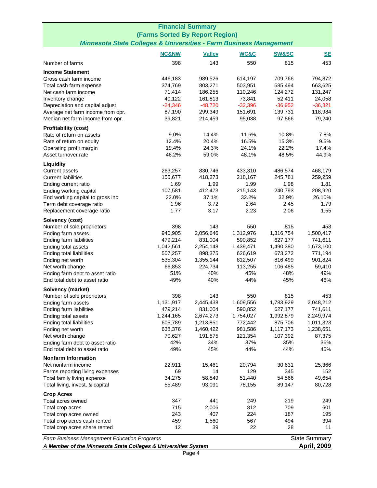| <b>Financial Summary</b>                                                             |                      |                      |                      |                      |                      |  |
|--------------------------------------------------------------------------------------|----------------------|----------------------|----------------------|----------------------|----------------------|--|
| (Farms Sorted By Report Region)                                                      |                      |                      |                      |                      |                      |  |
| <b>Minnesota State Colleges &amp; Universities - Farm Business Management</b>        |                      |                      |                      |                      |                      |  |
|                                                                                      | <b>NC&amp;NW</b>     | <b>Valley</b>        | WC&C                 | <b>SW&amp;SC</b>     | <b>SE</b>            |  |
| Number of farms                                                                      | 398                  | 143                  | 550                  | 815                  | 453                  |  |
| <b>Income Statement</b>                                                              |                      |                      |                      |                      |                      |  |
| Gross cash farm income                                                               | 446,183              | 989,526              | 614,197              | 709,766              | 794,872              |  |
| Total cash farm expense                                                              | 374,769              | 803,271              | 503,951              | 585,494              | 663,625              |  |
| Net cash farm income                                                                 | 71,414               | 186,255              | 110,246              | 124,272              | 131,247              |  |
| Inventory change                                                                     | 40,122               | 161,813              | 73,841               | 52,411               | 24,058               |  |
| Depreciation and capital adjust                                                      | $-24,346$            | $-48,720$            | $-32,396$            | $-36,952$            | $-36,321$            |  |
| Average net farm income from opr.                                                    | 87,190               | 299,349              | 151,691              | 139,731              | 118,984              |  |
| Median net farm income from opr.                                                     | 39,821               | 214,459              | 95,038               | 97,866               | 79,240               |  |
| <b>Profitability (cost)</b>                                                          |                      | 14.4%                | 11.6%                | 10.8%                |                      |  |
| Rate of return on assets                                                             | 9.0%<br>12.4%        | 20.4%                | 16.5%                | 15.3%                | 7.8%<br>9.5%         |  |
| Rate of return on equity<br>Operating profit margin                                  | 19.4%                | 24.3%                | 24.1%                | 22.2%                | 17.4%                |  |
| Asset turnover rate                                                                  | 46.2%                | 59.0%                | 48.1%                | 48.5%                | 44.9%                |  |
| Liquidity                                                                            |                      |                      |                      |                      |                      |  |
| <b>Current assets</b>                                                                | 263,257              | 830,746              | 433,310              | 486,574              | 468,179              |  |
| <b>Current liabilities</b>                                                           | 155,677              | 418,273              | 218,167              | 245,781              | 259,259              |  |
| Ending current ratio                                                                 | 1.69                 | 1.99                 | 1.99                 | 1.98                 | 1.81                 |  |
| Ending working capital                                                               | 107,581              | 412,473              | 215,143              | 240,793              | 208,920              |  |
| End working capital to gross inc                                                     | 22.0%                | 37.1%                | 32.2%                | 32.9%                | 26.10%               |  |
| Term debt coverage ratio                                                             | 1.96                 | 3.72                 | 2.64                 | 2.45                 | 1.79                 |  |
| Replacement coverage ratio                                                           | 1.77                 | 3.17                 | 2.23                 | 2.06                 | 1.55                 |  |
| Solvency (cost)                                                                      |                      |                      |                      |                      |                      |  |
| Number of sole proprietors                                                           | 398                  | 143                  | 550                  | 815                  | 453                  |  |
| Ending farm assets                                                                   | 940,905              | 2,056,646            | 1,312,976            | 1,316,754            | 1,500,417            |  |
| Ending farm liabilities                                                              | 479,214              | 831,004              | 590,852              | 627,177              | 741,611              |  |
| Ending total assets<br>Ending total liabilities                                      | 1,042,561<br>507,257 | 2,254,148<br>898,375 | 1,439,471<br>626,619 | 1,490,380<br>673,272 | 1,673,100<br>771,194 |  |
| Ending net worth                                                                     | 535,304              | 1,355,144            | 812,507              | 816,499              | 901,824              |  |
| Net worth change                                                                     | 66,853               | 224,734              | 113,255              | 106,485              | 59,410               |  |
| Ending farm debt to asset ratio                                                      | 51%                  | 40%                  | 45%                  | 48%                  | 49%                  |  |
| End total debt to asset ratio                                                        | 49%                  | 40%                  | 44%                  | 45%                  | 46%                  |  |
| Solvency (market)                                                                    |                      |                      |                      |                      |                      |  |
| Number of sole proprietors                                                           | 398                  | 143                  | 550                  | 815                  | 453                  |  |
| Ending farm assets                                                                   | 1,131,917            | 2,445,438            | 1,609,556            | 1,783,929            | 2,048,212            |  |
| Ending farm liabilities                                                              | 479,214              | 831,004              | 590,852              | 627,177              | 741,611              |  |
| Ending total assets                                                                  | 1,244,165            | 2,674,273            | 1,754,027            | 1,992,879            | 2,249,974            |  |
| Ending total liabilities                                                             | 605,789              | 1,213,851            | 772,442              | 875,706              | 1,011,323            |  |
| Ending net worth                                                                     | 638,376              | 1,460,422            | 981,586<br>121,354   | 1,117,173            | 1,238,651            |  |
| Net worth change<br>Ending farm debt to asset ratio                                  | 70,627<br>42%        | 191,575<br>34%       | 37%                  | 107,392<br>35%       | 87,375<br>36%        |  |
| End total debt to asset ratio                                                        | 49%                  | 45%                  | 44%                  | 44%                  | 45%                  |  |
| <b>Nonfarm Information</b>                                                           |                      |                      |                      |                      |                      |  |
| Net nonfarm income                                                                   | 22,911               | 15,461               | 20,794               | 30,631               | 25,366               |  |
| Farms reporting living expenses                                                      | 69                   | 14                   | 129                  | 345                  | 152                  |  |
| Total family living expense                                                          | 34,275               | 58,849               | 51,440               | 54,566               | 49,654               |  |
| Total living, invest, & capital                                                      | 55,489               | 93,091               | 78,155               | 89,147               | 80,728               |  |
| <b>Crop Acres</b>                                                                    |                      |                      |                      |                      |                      |  |
| Total acres owned                                                                    | 347                  | 441                  | 249                  | 219                  | 249                  |  |
| Total crop acres                                                                     | 715                  | 2,006                | 812                  | 709                  | 601                  |  |
| Total crop acres owned                                                               | 243                  | 407                  | 224                  | 187                  | 195                  |  |
| Total crop acres cash rented                                                         | 459                  | 1,560                | 567                  | 494                  | 394                  |  |
| Total crop acres share rented                                                        | 12                   | 39                   | 22                   | 28                   | 11                   |  |
| <b>State Summary</b><br><b>Farm Business Management Education Programs</b>           |                      |                      |                      |                      |                      |  |
| <b>April, 2009</b><br>A Member of the Minnesota State Colleges & Universities System |                      |                      |                      |                      |                      |  |